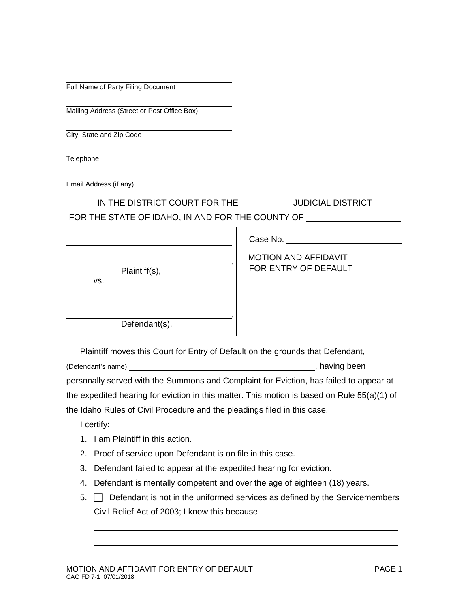| Full Name of Party Filing Document |  |  |  |
|------------------------------------|--|--|--|
|------------------------------------|--|--|--|

Mailing Address (Street or Post Office Box)

City, State and Zip Code

Telephone

Email Address (if any)

IN THE DISTRICT COURT FOR THE \_\_\_\_\_\_\_\_\_\_\_\_ JUDICIAL DISTRICT

FOR THE STATE OF IDAHO, IN AND FOR THE COUNTY OF

|                      | Case No.                                            |
|----------------------|-----------------------------------------------------|
| Plaintiff(s),<br>VS. | <b>MOTION AND AFFIDAVIT</b><br>FOR ENTRY OF DEFAULT |
|                      |                                                     |

 $\mathbf{I}$ 

Plaintiff moves this Court for Entry of Default on the grounds that Defendant,

(Defendant's name) (Defendant's name)

personally served with the Summons and Complaint for Eviction, has failed to appear at the expedited hearing for eviction in this matter. This motion is based on Rule 55(a)(1) of the Idaho Rules of Civil Procedure and the pleadings filed in this case.

I certify:

1. I am Plaintiff in this action.

Defendant(s).

- 2. Proof of service upon Defendant is on file in this case.
- 3. Defendant failed to appear at the expedited hearing for eviction.
- 4. Defendant is mentally competent and over the age of eighteen (18) years.
- $5.$   $\Box$  Defendant is not in the uniformed services as defined by the Servicemembers Civil Relief Act of 2003; I know this because